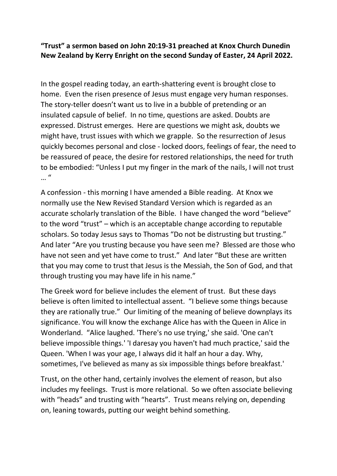**"Trust" a sermon based on John 20:19-31 preached at Knox Church Dunedin New Zealand by Kerry Enright on the second Sunday of Easter, 24 April 2022.**

In the gospel reading today, an earth-shattering event is brought close to home. Even the risen presence of Jesus must engage very human responses. The story-teller doesn't want us to live in a bubble of pretending or an insulated capsule of belief. In no time, questions are asked. Doubts are expressed. Distrust emerges. Here are questions we might ask, doubts we might have, trust issues with which we grapple. So the resurrection of Jesus quickly becomes personal and close - locked doors, feelings of fear, the need to be reassured of peace, the desire for restored relationships, the need for truth to be embodied: "Unless I put my finger in the mark of the nails, I will not trust  $\mathbf{u}$ 

A confession - this morning I have amended a Bible reading. At Knox we normally use the New Revised Standard Version which is regarded as an accurate scholarly translation of the Bible. I have changed the word "believe" to the word "trust" – which is an acceptable change according to reputable scholars. So today Jesus says to Thomas "Do not be distrusting but trusting." And later "Are you trusting because you have seen me? Blessed are those who have not seen and yet have come to trust." And later "But these are written that you may come to trust that Jesus is the Messiah, the Son of God, and that through trusting you may have life in his name."

The Greek word for believe includes the element of trust. But these days believe is often limited to intellectual assent. "I believe some things because they are rationally true." Our limiting of the meaning of believe downplays its significance. You will know the exchange Alice has with the Queen in Alice in Wonderland. "Alice laughed. 'There's no use trying,' she said. 'One can't believe impossible things.' 'I daresay you haven't had much practice,' said the Queen. 'When I was your age, I always did it half an hour a day. Why, sometimes, I've believed as many as six impossible things before breakfast.'

Trust, on the other hand, certainly involves the element of reason, but also includes my feelings. Trust is more relational. So we often associate believing with "heads" and trusting with "hearts". Trust means relying on, depending on, leaning towards, putting our weight behind something.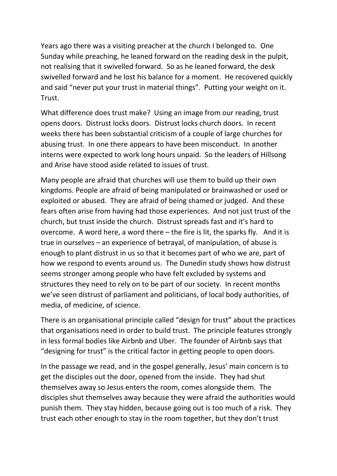Years ago there was a visiting preacher at the church I belonged to. One Sunday while preaching, he leaned forward on the reading desk in the pulpit, not realising that it swivelled forward. So as he leaned forward, the desk swivelled forward and he lost his balance for a moment. He recovered quickly and said "never put your trust in material things". Putting your weight on it. Trust.

What difference does trust make? Using an image from our reading, trust opens doors. Distrust locks doors. Distrust locks church doors. In recent weeks there has been substantial criticism of a couple of large churches for abusing trust. In one there appears to have been misconduct. In another interns were expected to work long hours unpaid. So the leaders of Hillsong and Arise have stood aside related to issues of trust.

Many people are afraid that churches will use them to build up their own kingdoms. People are afraid of being manipulated or brainwashed or used or exploited or abused. They are afraid of being shamed or judged. And these fears often arise from having had those experiences. And not just trust of the church, but trust inside the church. Distrust spreads fast and it's hard to overcome. A word here, a word there – the fire is lit, the sparks fly. And it is true in ourselves – an experience of betrayal, of manipulation, of abuse is enough to plant distrust in us so that it becomes part of who we are, part of how we respond to events around us. The Dunedin study shows how distrust seems stronger among people who have felt excluded by systems and structures they need to rely on to be part of our society. In recent months we've seen distrust of parliament and politicians, of local body authorities, of media, of medicine, of science.

There is an organisational principle called "design for trust" about the practices that organisations need in order to build trust. The principle features strongly in less formal bodies like Airbnb and Uber. The founder of Airbnb says that "designing for trust" is the critical factor in getting people to open doors.

In the passage we read, and in the gospel generally, Jesus' main concern is to get the disciples out the door, opened from the inside. They had shut themselves away so Jesus enters the room, comes alongside them. The disciples shut themselves away because they were afraid the authorities would punish them. They stay hidden, because going out is too much of a risk. They trust each other enough to stay in the room together, but they don't trust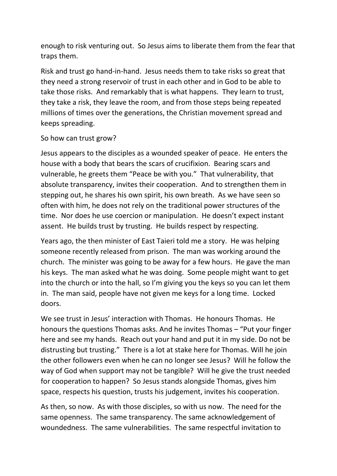enough to risk venturing out. So Jesus aims to liberate them from the fear that traps them.

Risk and trust go hand-in-hand. Jesus needs them to take risks so great that they need a strong reservoir of trust in each other and in God to be able to take those risks. And remarkably that is what happens. They learn to trust, they take a risk, they leave the room, and from those steps being repeated millions of times over the generations, the Christian movement spread and keeps spreading.

## So how can trust grow?

Jesus appears to the disciples as a wounded speaker of peace. He enters the house with a body that bears the scars of crucifixion. Bearing scars and vulnerable, he greets them "Peace be with you." That vulnerability, that absolute transparency, invites their cooperation. And to strengthen them in stepping out, he shares his own spirit, his own breath. As we have seen so often with him, he does not rely on the traditional power structures of the time. Nor does he use coercion or manipulation. He doesn't expect instant assent. He builds trust by trusting. He builds respect by respecting.

Years ago, the then minister of East Taieri told me a story. He was helping someone recently released from prison. The man was working around the church. The minister was going to be away for a few hours. He gave the man his keys. The man asked what he was doing. Some people might want to get into the church or into the hall, so I'm giving you the keys so you can let them in. The man said, people have not given me keys for a long time. Locked doors.

We see trust in Jesus' interaction with Thomas. He honours Thomas. He honours the questions Thomas asks. And he invites Thomas – "Put your finger here and see my hands. Reach out your hand and put it in my side. Do not be distrusting but trusting." There is a lot at stake here for Thomas. Will he join the other followers even when he can no longer see Jesus? Will he follow the way of God when support may not be tangible? Will he give the trust needed for cooperation to happen? So Jesus stands alongside Thomas, gives him space, respects his question, trusts his judgement, invites his cooperation.

As then, so now. As with those disciples, so with us now. The need for the same openness. The same transparency. The same acknowledgement of woundedness. The same vulnerabilities. The same respectful invitation to